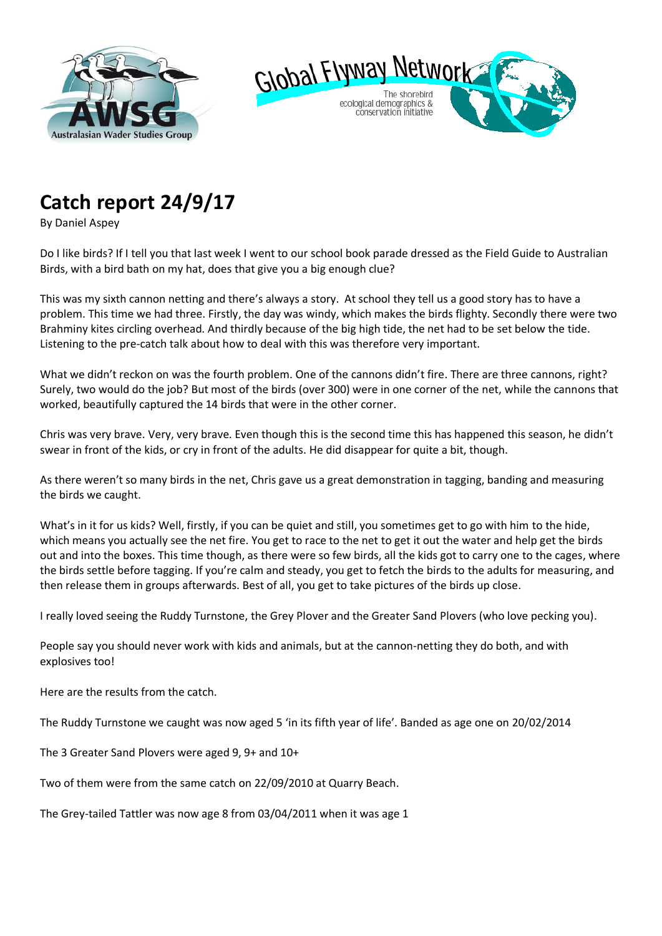



## **Catch report 24/9/17**

By Daniel Aspey

Do I like birds? If I tell you that last week I went to our school book parade dressed as the Field Guide to Australian Birds, with a bird bath on my hat, does that give you a big enough clue?

This was my sixth cannon netting and there's always a story. At school they tell us a good story has to have a problem. This time we had three. Firstly, the day was windy, which makes the birds flighty. Secondly there were two Brahminy kites circling overhead. And thirdly because of the big high tide, the net had to be set below the tide. Listening to the pre-catch talk about how to deal with this was therefore very important.

What we didn't reckon on was the fourth problem. One of the cannons didn't fire. There are three cannons, right? Surely, two would do the job? But most of the birds (over 300) were in one corner of the net, while the cannons that worked, beautifully captured the 14 birds that were in the other corner.

Chris was very brave. Very, very brave. Even though this is the second time this has happened this season, he didn't swear in front of the kids, or cry in front of the adults. He did disappear for quite a bit, though.

As there weren't so many birds in the net, Chris gave us a great demonstration in tagging, banding and measuring the birds we caught.

What's in it for us kids? Well, firstly, if you can be quiet and still, you sometimes get to go with him to the hide, which means you actually see the net fire. You get to race to the net to get it out the water and help get the birds out and into the boxes. This time though, as there were so few birds, all the kids got to carry one to the cages, where the birds settle before tagging. If you're calm and steady, you get to fetch the birds to the adults for measuring, and then release them in groups afterwards. Best of all, you get to take pictures of the birds up close.

I really loved seeing the Ruddy Turnstone, the Grey Plover and the Greater Sand Plovers (who love pecking you).

People say you should never work with kids and animals, but at the cannon-netting they do both, and with explosives too!

Here are the results from the catch.

The Ruddy Turnstone we caught was now aged 5 'in its fifth year of life'. Banded as age one on 20/02/2014

The 3 Greater Sand Plovers were aged 9, 9+ and 10+

Two of them were from the same catch on 22/09/2010 at Quarry Beach.

The Grey-tailed Tattler was now age 8 from 03/04/2011 when it was age 1